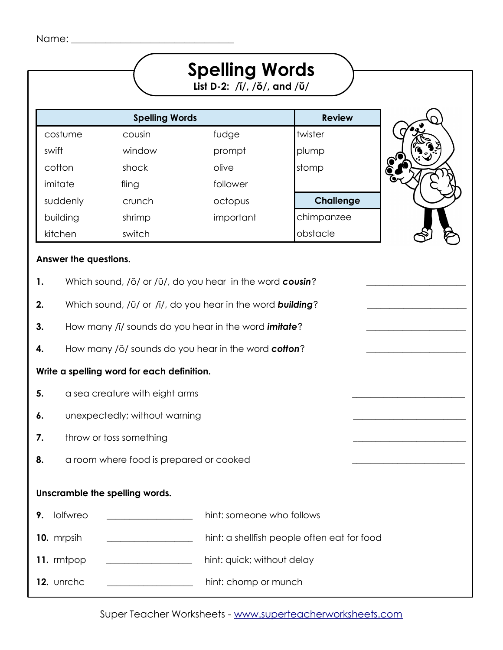| Name: |  |
|-------|--|

| Name:                                                                 |                                                                                                                                                                                                                       |                                                                                                                                                                                                                                                       |                                             |  |
|-----------------------------------------------------------------------|-----------------------------------------------------------------------------------------------------------------------------------------------------------------------------------------------------------------------|-------------------------------------------------------------------------------------------------------------------------------------------------------------------------------------------------------------------------------------------------------|---------------------------------------------|--|
|                                                                       |                                                                                                                                                                                                                       | <b>Spelling Words</b><br>List D-2: $\sqrt{i}/$ , $\sqrt{0}/$ , and $\sqrt{U}/$                                                                                                                                                                        |                                             |  |
|                                                                       | <b>Spelling Words</b>                                                                                                                                                                                                 |                                                                                                                                                                                                                                                       | <b>Review</b>                               |  |
| costume                                                               | cousin                                                                                                                                                                                                                | fudge                                                                                                                                                                                                                                                 | twister                                     |  |
| swift                                                                 | window                                                                                                                                                                                                                | prompt                                                                                                                                                                                                                                                | plump                                       |  |
| cotton                                                                | shock                                                                                                                                                                                                                 | olive                                                                                                                                                                                                                                                 | stomp                                       |  |
| imitate                                                               | fling                                                                                                                                                                                                                 | follower                                                                                                                                                                                                                                              |                                             |  |
| suddenly                                                              | crunch                                                                                                                                                                                                                | octopus                                                                                                                                                                                                                                               | <b>Challenge</b>                            |  |
| building                                                              | shrimp                                                                                                                                                                                                                | important                                                                                                                                                                                                                                             | chimpanzee                                  |  |
| kitchen                                                               | switch                                                                                                                                                                                                                |                                                                                                                                                                                                                                                       | obstacle                                    |  |
| Answer the questions.<br>1.<br>2.<br>3.<br>4.<br>5.<br>6.<br>7.<br>8. | Write a spelling word for each definition.<br>a sea creature with eight arms<br>unexpectedly; without warning<br>throw or toss something<br>a room where food is prepared or cooked<br>Unscramble the spelling words. | Which sound, /ŏ/ or /ŭ/, do you hear in the word cousin?<br>Which sound, /ŭ/ or /ĭ/, do you hear in the word <b>building</b> ?<br>How many /i/ sounds do you hear in the word <i>imitate</i> ?<br>How many /ŏ/ sounds do you hear in the word cotton? |                                             |  |
| lolfwreo<br>9.                                                        |                                                                                                                                                                                                                       | hint: someone who follows                                                                                                                                                                                                                             |                                             |  |
| 10. mrpsih                                                            |                                                                                                                                                                                                                       |                                                                                                                                                                                                                                                       | hint: a shellfish people often eat for food |  |
| 11. mtpop                                                             |                                                                                                                                                                                                                       | hint: quick; without delay                                                                                                                                                                                                                            |                                             |  |
|                                                                       |                                                                                                                                                                                                                       |                                                                                                                                                                                                                                                       |                                             |  |
| 12. unrchc                                                            |                                                                                                                                                                                                                       | hint: chomp or munch                                                                                                                                                                                                                                  |                                             |  |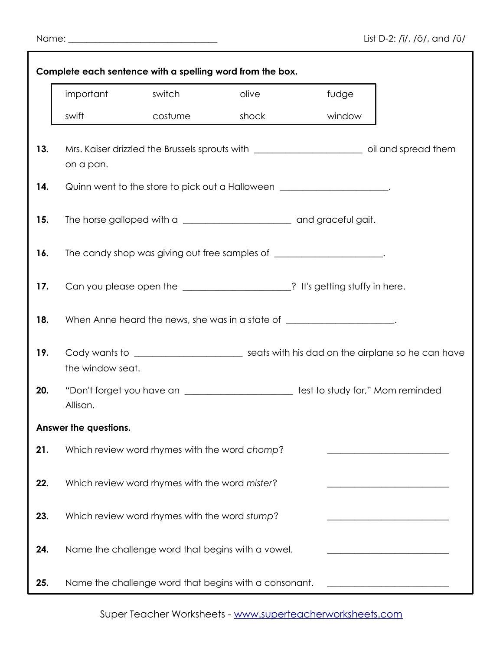|  | Name: |  |
|--|-------|--|
|  |       |  |

|     | Complete each sentence with a spelling word from the box. |         |                                                       |                                                                                                      |
|-----|-----------------------------------------------------------|---------|-------------------------------------------------------|------------------------------------------------------------------------------------------------------|
|     | important                                                 | switch  | olive                                                 | fudge                                                                                                |
|     | swift                                                     | costume | shock                                                 | window                                                                                               |
| 13. | on a pan.                                                 |         |                                                       | Mrs. Kaiser drizzled the Brussels sprouts with _________________________________ oil and spread them |
| 14. |                                                           |         |                                                       | Quinn went to the store to pick out a Halloween _____________________.                               |
| 15. |                                                           |         |                                                       |                                                                                                      |
| 16. |                                                           |         |                                                       | The candy shop was giving out free samples of _______________________.                               |
| 17. |                                                           |         |                                                       | Can you please open the ___________________? It's getting stuffy in here.                            |
| 18. |                                                           |         |                                                       | When Anne heard the news, she was in a state of ________________________.                            |
| 19. | the window seat.                                          |         |                                                       | Cody wants to ________________________________ seats with his dad on the airplane so he can have     |
| 20. | Allison.                                                  |         |                                                       | "Don't forget you have an _________________________test to study for," Mom reminded                  |
|     | Answer the questions.                                     |         |                                                       |                                                                                                      |
| 21. | Which review word rhymes with the word chomp?             |         |                                                       |                                                                                                      |
| 22. | Which review word rhymes with the word mister?            |         |                                                       |                                                                                                      |
| 23. | Which review word rhymes with the word stump?             |         |                                                       |                                                                                                      |
| 24. | Name the challenge word that begins with a vowel.         |         |                                                       |                                                                                                      |
| 25. |                                                           |         | Name the challenge word that begins with a consonant. |                                                                                                      |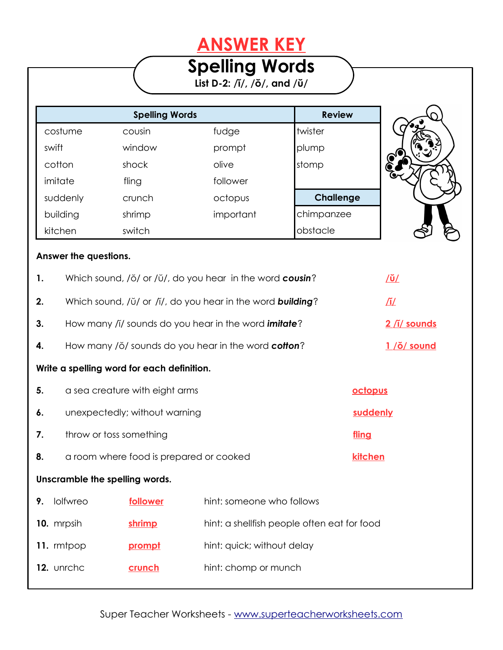## **ANSWER KEY**

## **Spelling Words**

**List D-2: /ĭ/, /ŏ/, and /ŭ/**

|          | <b>Spelling Words</b> |           | <b>Review</b>    |
|----------|-----------------------|-----------|------------------|
| costume  | cousin                | fudge     | twister          |
| swift    | window                | prompt    | plump            |
| cotton   | shock                 | olive     | stomp            |
| imitate  | fling                 | follower  |                  |
| suddenly | crunch                | octopus   | <b>Challenge</b> |
| building | shrimp                | important | chimpanzee       |
| kitchen  | switch                |           | obstacle         |



| 1. |                                |                                            | Which sound, /ŏ/ or /ŭ/, do you hear in the word cousin?           |          | <u>/ŭ/</u>         |
|----|--------------------------------|--------------------------------------------|--------------------------------------------------------------------|----------|--------------------|
| 2. |                                |                                            | Which sound, /ŭ/ or /ĭ/, do you hear in the word <b>building</b> ? |          | ∐                  |
| 3. |                                |                                            | How many /i/ sounds do you hear in the word <i>imitate</i> ?       |          | 2 /i/ sounds       |
| 4. |                                |                                            | How many /ŏ/ sounds do you hear in the word cotton?                |          | $1/\delta$ / sound |
|    |                                | Write a spelling word for each definition. |                                                                    |          |                    |
| 5. |                                | a sea creature with eight arms             |                                                                    | octopus  |                    |
| 6. |                                | unexpectedly; without warning              |                                                                    | suddenly |                    |
| 7. | throw or toss something        |                                            |                                                                    | fling    |                    |
| 8. |                                | a room where food is prepared or cooked    |                                                                    | kitchen  |                    |
|    | Unscramble the spelling words. |                                            |                                                                    |          |                    |
| 9. | lolfwreo                       | follower                                   | hint: someone who follows                                          |          |                    |
|    | 10. mrpsih                     | shrimp                                     | hint: a shellfish people often eat for food                        |          |                    |
|    | 11. mtpop                      | prompt                                     | hint: quick; without delay                                         |          |                    |
|    | 12. unrchc                     | crunch                                     | hint: chomp or munch                                               |          |                    |
|    |                                |                                            |                                                                    |          |                    |